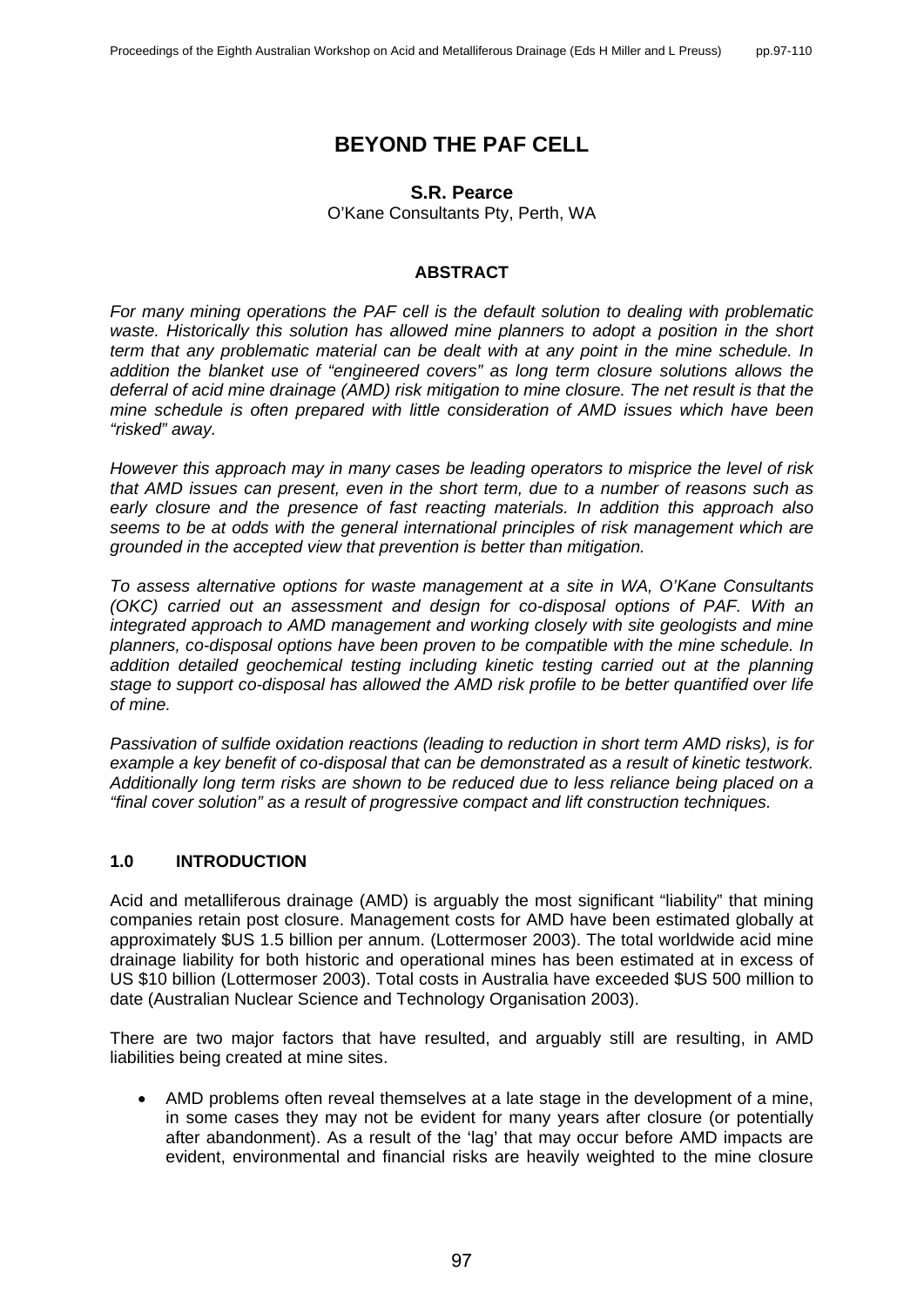# **BEYOND THE PAF CELL**

## **S.R. Pearce**

O'Kane Consultants Pty, Perth, WA

#### **ABSTRACT**

*For many mining operations the PAF cell is the default solution to dealing with problematic*  waste. Historically this solution has allowed mine planners to adopt a position in the short *term that any problematic material can be dealt with at any point in the mine schedule. In addition the blanket use of "engineered covers" as long term closure solutions allows the deferral of acid mine drainage (AMD) risk mitigation to mine closure. The net result is that the mine schedule is often prepared with little consideration of AMD issues which have been "risked" away.*

*However this approach may in many cases be leading operators to misprice the level of risk that AMD issues can present, even in the short term, due to a number of reasons such as early closure and the presence of fast reacting materials. In addition this approach also seems to be at odds with the general international principles of risk management which are grounded in the accepted view that prevention is better than mitigation.* 

*To assess alternative options for waste management at a site in WA, O'Kane Consultants (OKC) carried out an assessment and design for co-disposal options of PAF. With an integrated approach to AMD management and working closely with site geologists and mine planners, co-disposal options have been proven to be compatible with the mine schedule. In addition detailed geochemical testing including kinetic testing carried out at the planning stage to support co-disposal has allowed the AMD risk profile to be better quantified over life of mine.* 

*Passivation of sulfide oxidation reactions (leading to reduction in short term AMD risks), is for example a key benefit of co-disposal that can be demonstrated as a result of kinetic testwork. Additionally long term risks are shown to be reduced due to less reliance being placed on a "final cover solution" as a result of progressive compact and lift construction techniques.* 

## **1.0 INTRODUCTION**

Acid and metalliferous drainage (AMD) is arguably the most significant "liability" that mining companies retain post closure. Management costs for AMD have been estimated globally at approximately \$US 1.5 billion per annum. (Lottermoser 2003). The total worldwide acid mine drainage liability for both historic and operational mines has been estimated at in excess of US \$10 billion (Lottermoser 2003). Total costs in Australia have exceeded \$US 500 million to date (Australian Nuclear Science and Technology Organisation 2003).

There are two major factors that have resulted, and arguably still are resulting, in AMD liabilities being created at mine sites.

• AMD problems often reveal themselves at a late stage in the development of a mine, in some cases they may not be evident for many years after closure (or potentially after abandonment). As a result of the 'lag' that may occur before AMD impacts are evident, environmental and financial risks are heavily weighted to the mine closure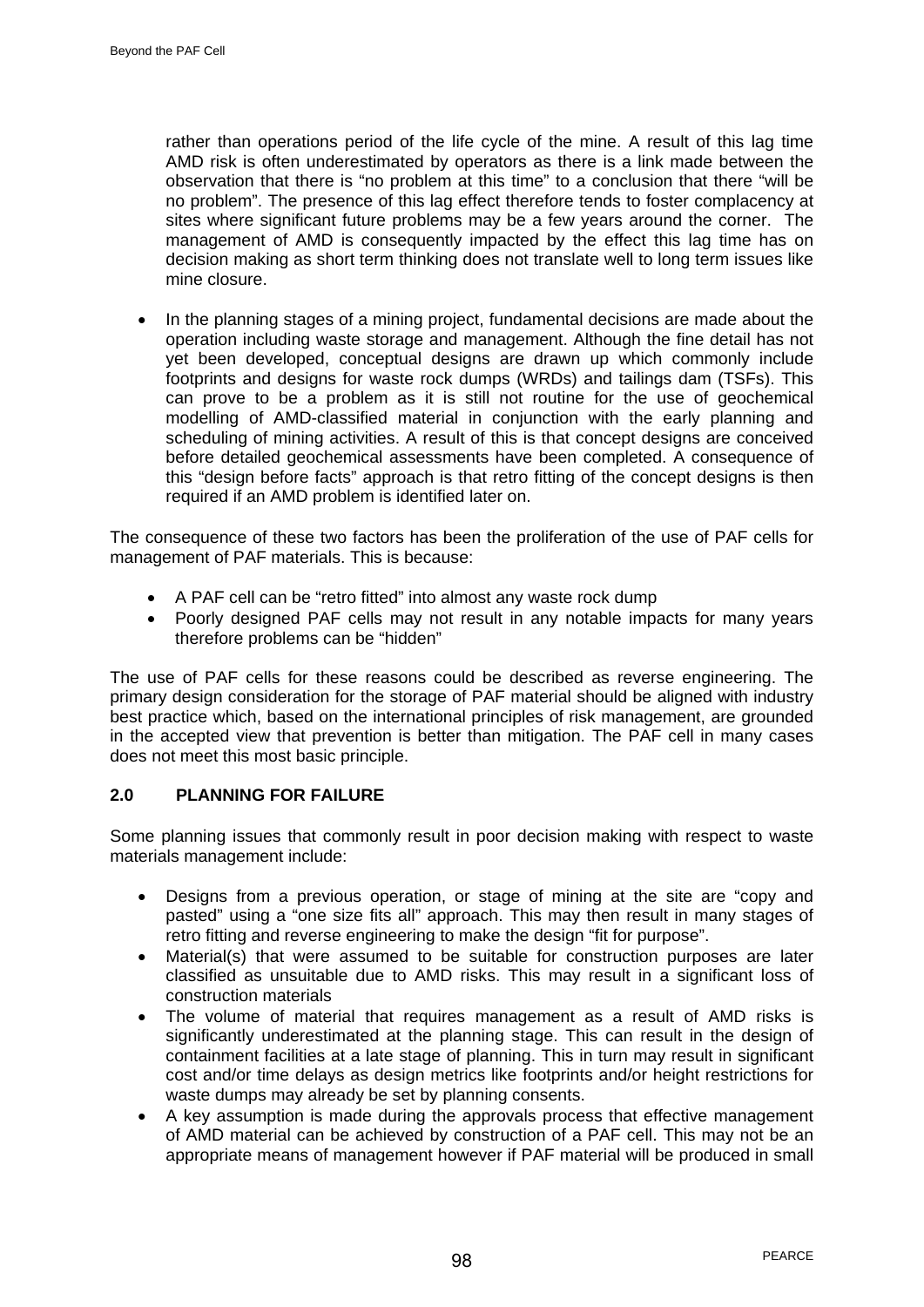rather than operations period of the life cycle of the mine. A result of this lag time AMD risk is often underestimated by operators as there is a link made between the observation that there is "no problem at this time" to a conclusion that there "will be no problem". The presence of this lag effect therefore tends to foster complacency at sites where significant future problems may be a few years around the corner. The management of AMD is consequently impacted by the effect this lag time has on decision making as short term thinking does not translate well to long term issues like mine closure.

• In the planning stages of a mining project, fundamental decisions are made about the operation including waste storage and management. Although the fine detail has not yet been developed, conceptual designs are drawn up which commonly include footprints and designs for waste rock dumps (WRDs) and tailings dam (TSFs). This can prove to be a problem as it is still not routine for the use of geochemical modelling of AMD-classified material in conjunction with the early planning and scheduling of mining activities. A result of this is that concept designs are conceived before detailed geochemical assessments have been completed. A consequence of this "design before facts" approach is that retro fitting of the concept designs is then required if an AMD problem is identified later on.

The consequence of these two factors has been the proliferation of the use of PAF cells for management of PAF materials. This is because:

- A PAF cell can be "retro fitted" into almost any waste rock dump
- Poorly designed PAF cells may not result in any notable impacts for many years therefore problems can be "hidden"

The use of PAF cells for these reasons could be described as reverse engineering. The primary design consideration for the storage of PAF material should be aligned with industry best practice which, based on the international principles of risk management, are grounded in the accepted view that prevention is better than mitigation. The PAF cell in many cases does not meet this most basic principle.

## **2.0 PLANNING FOR FAILURE**

Some planning issues that commonly result in poor decision making with respect to waste materials management include:

- Designs from a previous operation, or stage of mining at the site are "copy and pasted" using a "one size fits all" approach. This may then result in many stages of retro fitting and reverse engineering to make the design "fit for purpose".
- Material(s) that were assumed to be suitable for construction purposes are later classified as unsuitable due to AMD risks. This may result in a significant loss of construction materials
- The volume of material that requires management as a result of AMD risks is significantly underestimated at the planning stage. This can result in the design of containment facilities at a late stage of planning. This in turn may result in significant cost and/or time delays as design metrics like footprints and/or height restrictions for waste dumps may already be set by planning consents.
- A key assumption is made during the approvals process that effective management of AMD material can be achieved by construction of a PAF cell. This may not be an appropriate means of management however if PAF material will be produced in small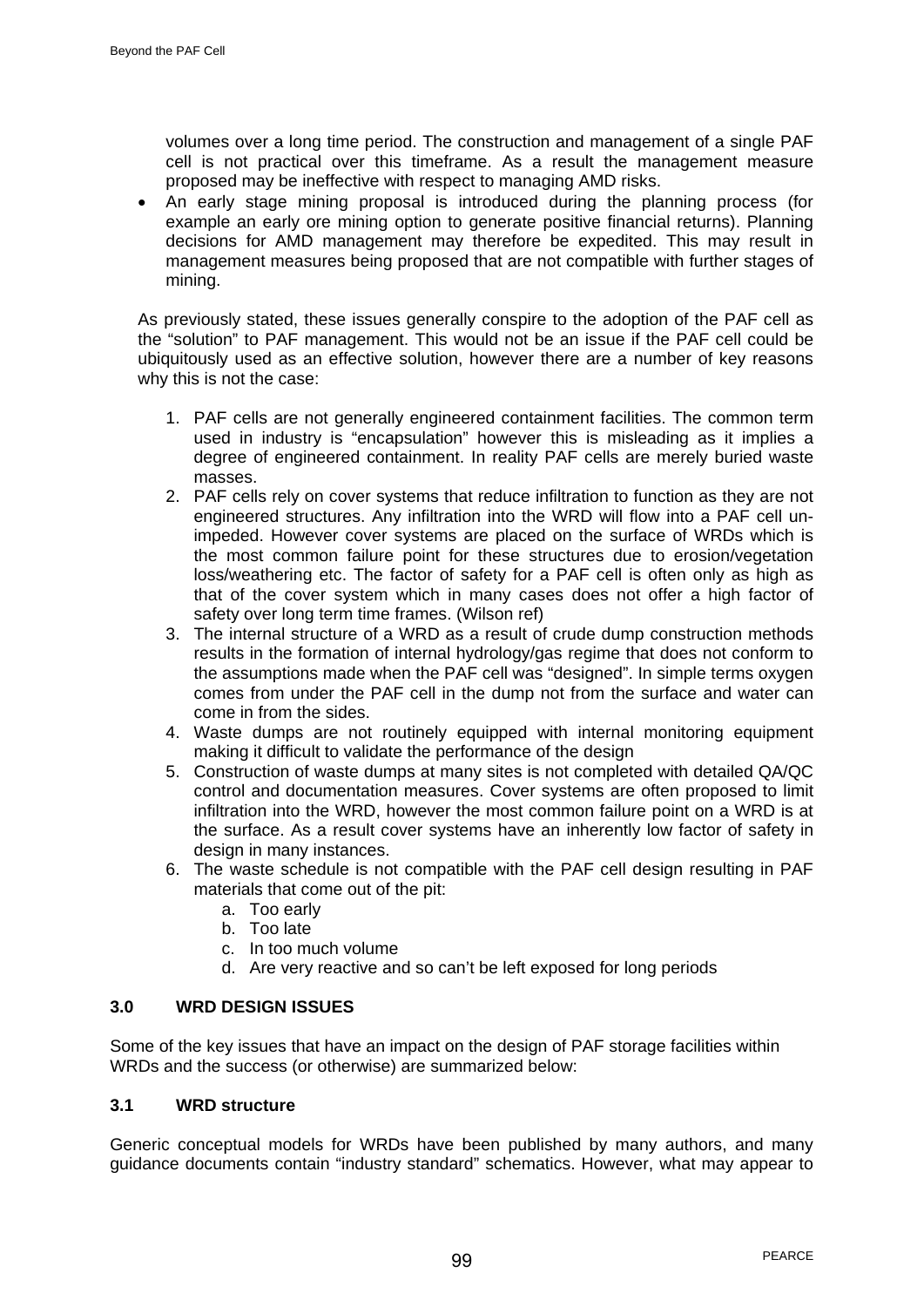volumes over a long time period. The construction and management of a single PAF cell is not practical over this timeframe. As a result the management measure proposed may be ineffective with respect to managing AMD risks.

• An early stage mining proposal is introduced during the planning process (for example an early ore mining option to generate positive financial returns). Planning decisions for AMD management may therefore be expedited. This may result in management measures being proposed that are not compatible with further stages of mining.

As previously stated, these issues generally conspire to the adoption of the PAF cell as the "solution" to PAF management. This would not be an issue if the PAF cell could be ubiquitously used as an effective solution, however there are a number of key reasons why this is not the case:

- 1. PAF cells are not generally engineered containment facilities. The common term used in industry is "encapsulation" however this is misleading as it implies a degree of engineered containment. In reality PAF cells are merely buried waste masses.
- 2. PAF cells rely on cover systems that reduce infiltration to function as they are not engineered structures. Any infiltration into the WRD will flow into a PAF cell unimpeded. However cover systems are placed on the surface of WRDs which is the most common failure point for these structures due to erosion/vegetation loss/weathering etc. The factor of safety for a PAF cell is often only as high as that of the cover system which in many cases does not offer a high factor of safety over long term time frames. (Wilson ref)
- 3. The internal structure of a WRD as a result of crude dump construction methods results in the formation of internal hydrology/gas regime that does not conform to the assumptions made when the PAF cell was "designed". In simple terms oxygen comes from under the PAF cell in the dump not from the surface and water can come in from the sides.
- 4. Waste dumps are not routinely equipped with internal monitoring equipment making it difficult to validate the performance of the design
- 5. Construction of waste dumps at many sites is not completed with detailed QA/QC control and documentation measures. Cover systems are often proposed to limit infiltration into the WRD, however the most common failure point on a WRD is at the surface. As a result cover systems have an inherently low factor of safety in design in many instances.
- 6. The waste schedule is not compatible with the PAF cell design resulting in PAF materials that come out of the pit:
	- a. Too early
	- b. Too late
	- c. In too much volume
	- d. Are very reactive and so can't be left exposed for long periods

## **3.0 WRD DESIGN ISSUES**

Some of the key issues that have an impact on the design of PAF storage facilities within WRDs and the success (or otherwise) are summarized below:

## **3.1 WRD structure**

Generic conceptual models for WRDs have been published by many authors, and many guidance documents contain "industry standard" schematics. However, what may appear to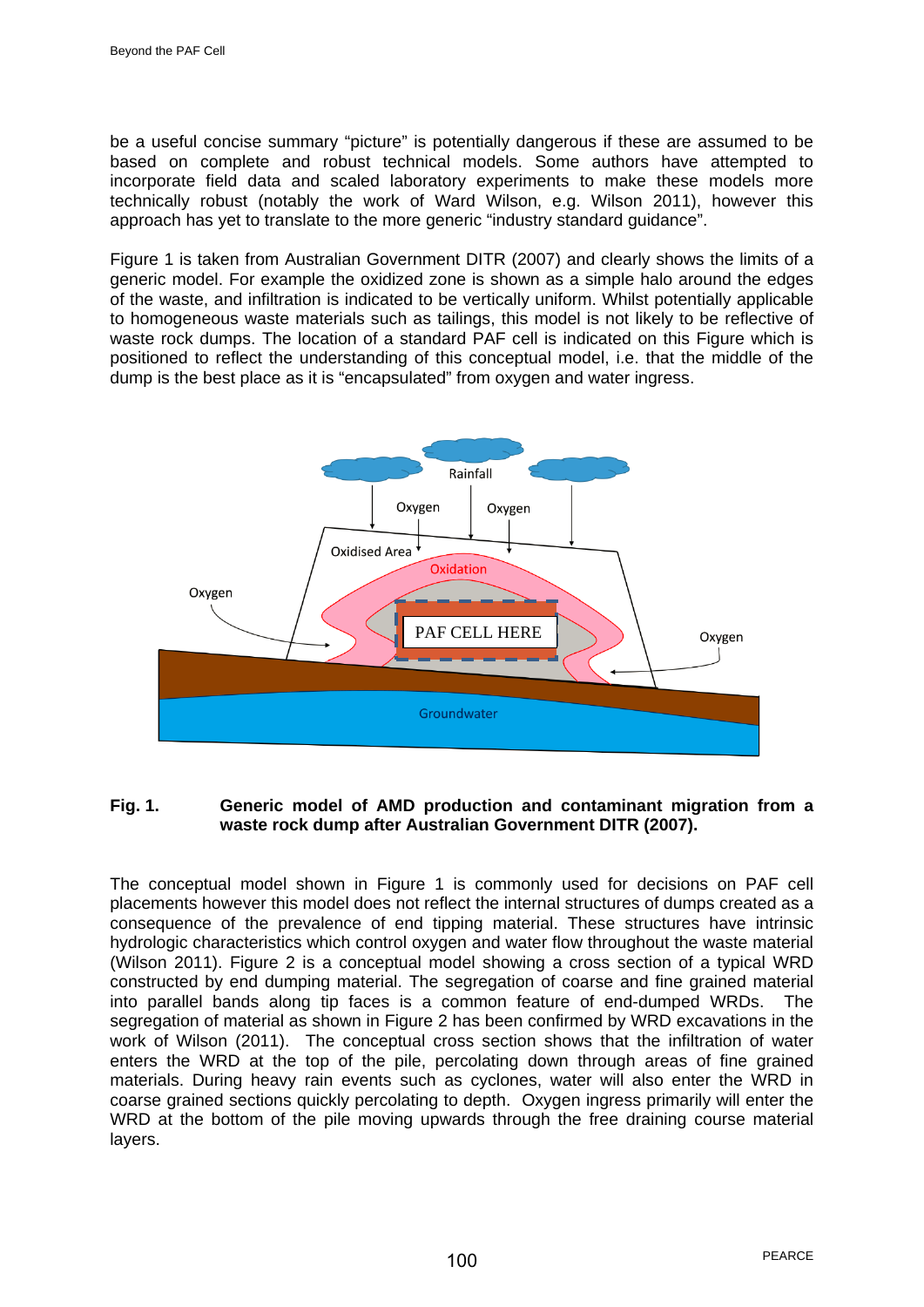be a useful concise summary "picture" is potentially dangerous if these are assumed to be based on complete and robust technical models. Some authors have attempted to incorporate field data and scaled laboratory experiments to make these models more technically robust (notably the work of Ward Wilson, e.g. Wilson 2011), however this approach has yet to translate to the more generic "industry standard guidance".

Figure 1 is taken from Australian Government DITR (2007) and clearly shows the limits of a generic model. For example the oxidized zone is shown as a simple halo around the edges of the waste, and infiltration is indicated to be vertically uniform. Whilst potentially applicable to homogeneous waste materials such as tailings, this model is not likely to be reflective of waste rock dumps. The location of a standard PAF cell is indicated on this Figure which is positioned to reflect the understanding of this conceptual model, i.e. that the middle of the dump is the best place as it is "encapsulated" from oxygen and water ingress.



## **Fig. 1. Generic model of AMD production and contaminant migration from a waste rock dump after Australian Government DITR (2007).**

The conceptual model shown in Figure 1 is commonly used for decisions on PAF cell placements however this model does not reflect the internal structures of dumps created as a consequence of the prevalence of end tipping material. These structures have intrinsic hydrologic characteristics which control oxygen and water flow throughout the waste material (Wilson 2011). Figure 2 is a conceptual model showing a cross section of a typical WRD constructed by end dumping material. The segregation of coarse and fine grained material into parallel bands along tip faces is a common feature of end-dumped WRDs. The segregation of material as shown in Figure 2 has been confirmed by WRD excavations in the work of Wilson (2011). The conceptual cross section shows that the infiltration of water enters the WRD at the top of the pile, percolating down through areas of fine grained materials. During heavy rain events such as cyclones, water will also enter the WRD in coarse grained sections quickly percolating to depth. Oxygen ingress primarily will enter the WRD at the bottom of the pile moving upwards through the free draining course material layers.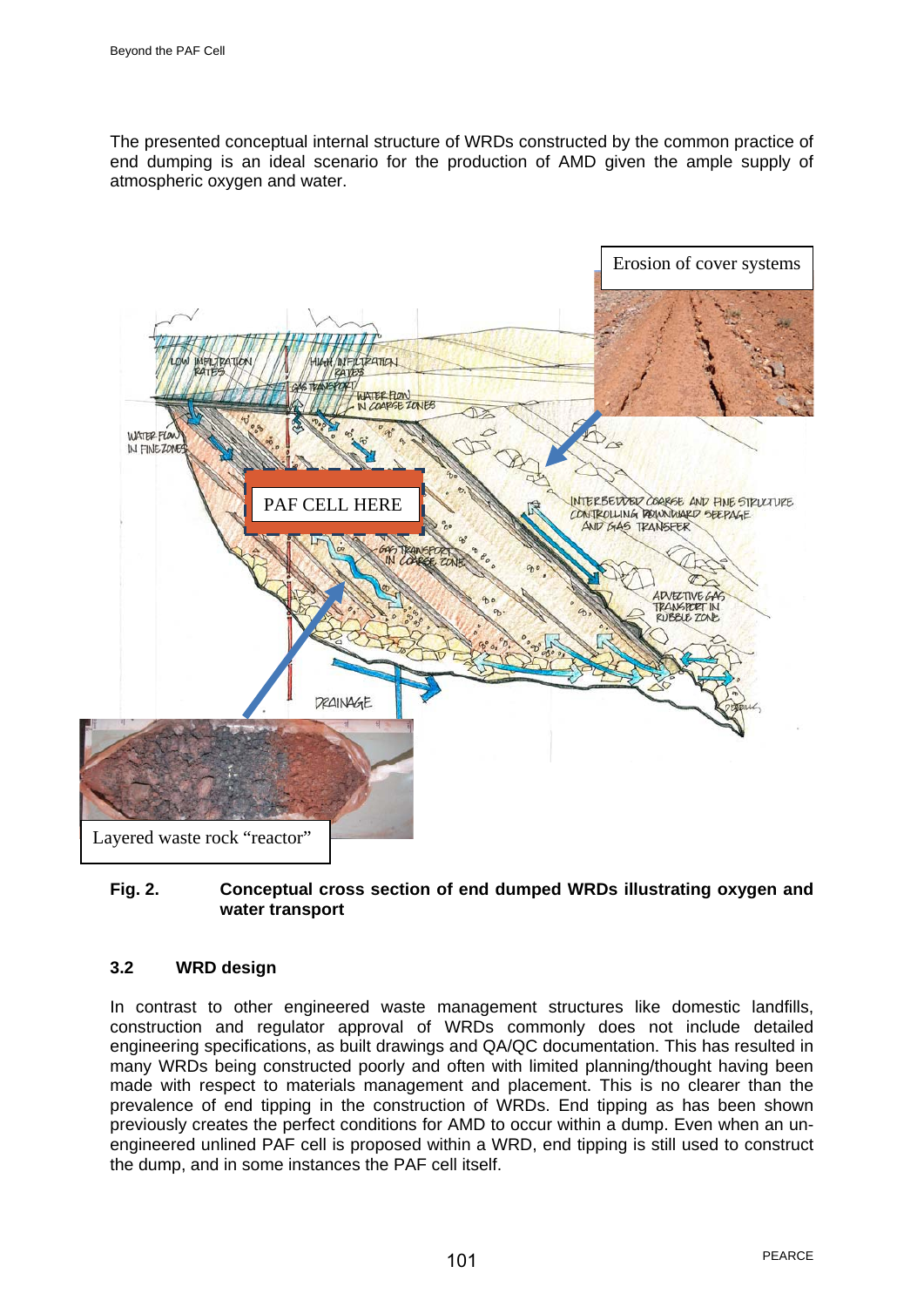The presented conceptual internal structure of WRDs constructed by the common practice of end dumping is an ideal scenario for the production of AMD given the ample supply of atmospheric oxygen and water.



## **Fig. 2. Conceptual cross section of end dumped WRDs illustrating oxygen and water transport**

# **3.2 WRD design**

In contrast to other engineered waste management structures like domestic landfills, construction and regulator approval of WRDs commonly does not include detailed engineering specifications, as built drawings and QA/QC documentation. This has resulted in many WRDs being constructed poorly and often with limited planning/thought having been made with respect to materials management and placement. This is no clearer than the prevalence of end tipping in the construction of WRDs. End tipping as has been shown previously creates the perfect conditions for AMD to occur within a dump. Even when an unengineered unlined PAF cell is proposed within a WRD, end tipping is still used to construct the dump, and in some instances the PAF cell itself.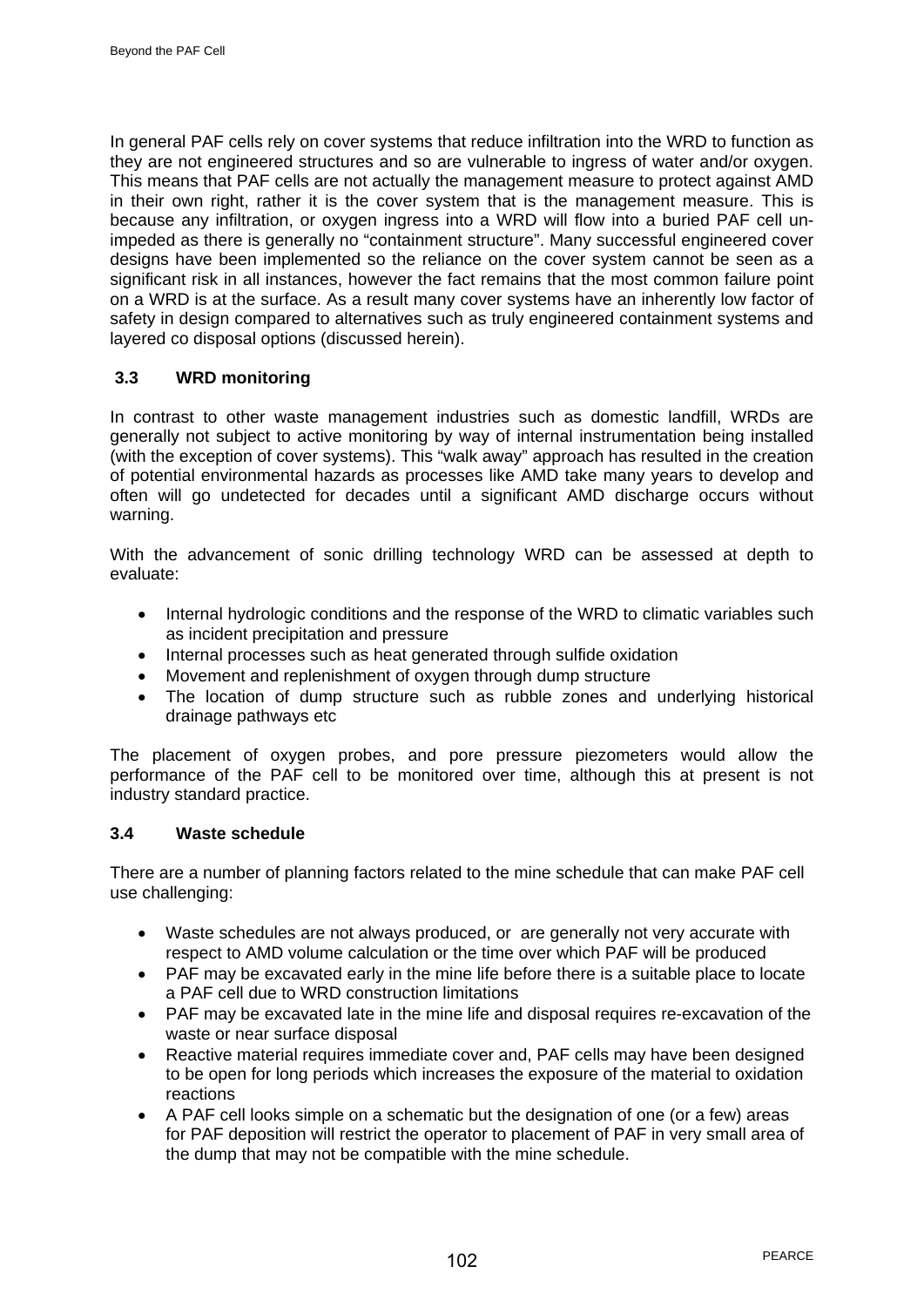In general PAF cells rely on cover systems that reduce infiltration into the WRD to function as they are not engineered structures and so are vulnerable to ingress of water and/or oxygen. This means that PAF cells are not actually the management measure to protect against AMD in their own right, rather it is the cover system that is the management measure. This is because any infiltration, or oxygen ingress into a WRD will flow into a buried PAF cell unimpeded as there is generally no "containment structure". Many successful engineered cover designs have been implemented so the reliance on the cover system cannot be seen as a significant risk in all instances, however the fact remains that the most common failure point on a WRD is at the surface. As a result many cover systems have an inherently low factor of safety in design compared to alternatives such as truly engineered containment systems and layered co disposal options (discussed herein).

## **3.3 WRD monitoring**

In contrast to other waste management industries such as domestic landfill, WRDs are generally not subject to active monitoring by way of internal instrumentation being installed (with the exception of cover systems). This "walk away" approach has resulted in the creation of potential environmental hazards as processes like AMD take many years to develop and often will go undetected for decades until a significant AMD discharge occurs without warning.

With the advancement of sonic drilling technology WRD can be assessed at depth to evaluate:

- Internal hydrologic conditions and the response of the WRD to climatic variables such as incident precipitation and pressure
- Internal processes such as heat generated through sulfide oxidation
- Movement and replenishment of oxygen through dump structure
- The location of dump structure such as rubble zones and underlying historical drainage pathways etc

The placement of oxygen probes, and pore pressure piezometers would allow the performance of the PAF cell to be monitored over time, although this at present is not industry standard practice.

## **3.4 Waste schedule**

There are a number of planning factors related to the mine schedule that can make PAF cell use challenging:

- Waste schedules are not always produced, or are generally not very accurate with respect to AMD volume calculation or the time over which PAF will be produced
- PAF may be excavated early in the mine life before there is a suitable place to locate a PAF cell due to WRD construction limitations
- PAF may be excavated late in the mine life and disposal requires re-excavation of the waste or near surface disposal
- Reactive material requires immediate cover and, PAF cells may have been designed to be open for long periods which increases the exposure of the material to oxidation reactions
- A PAF cell looks simple on a schematic but the designation of one (or a few) areas for PAF deposition will restrict the operator to placement of PAF in very small area of the dump that may not be compatible with the mine schedule.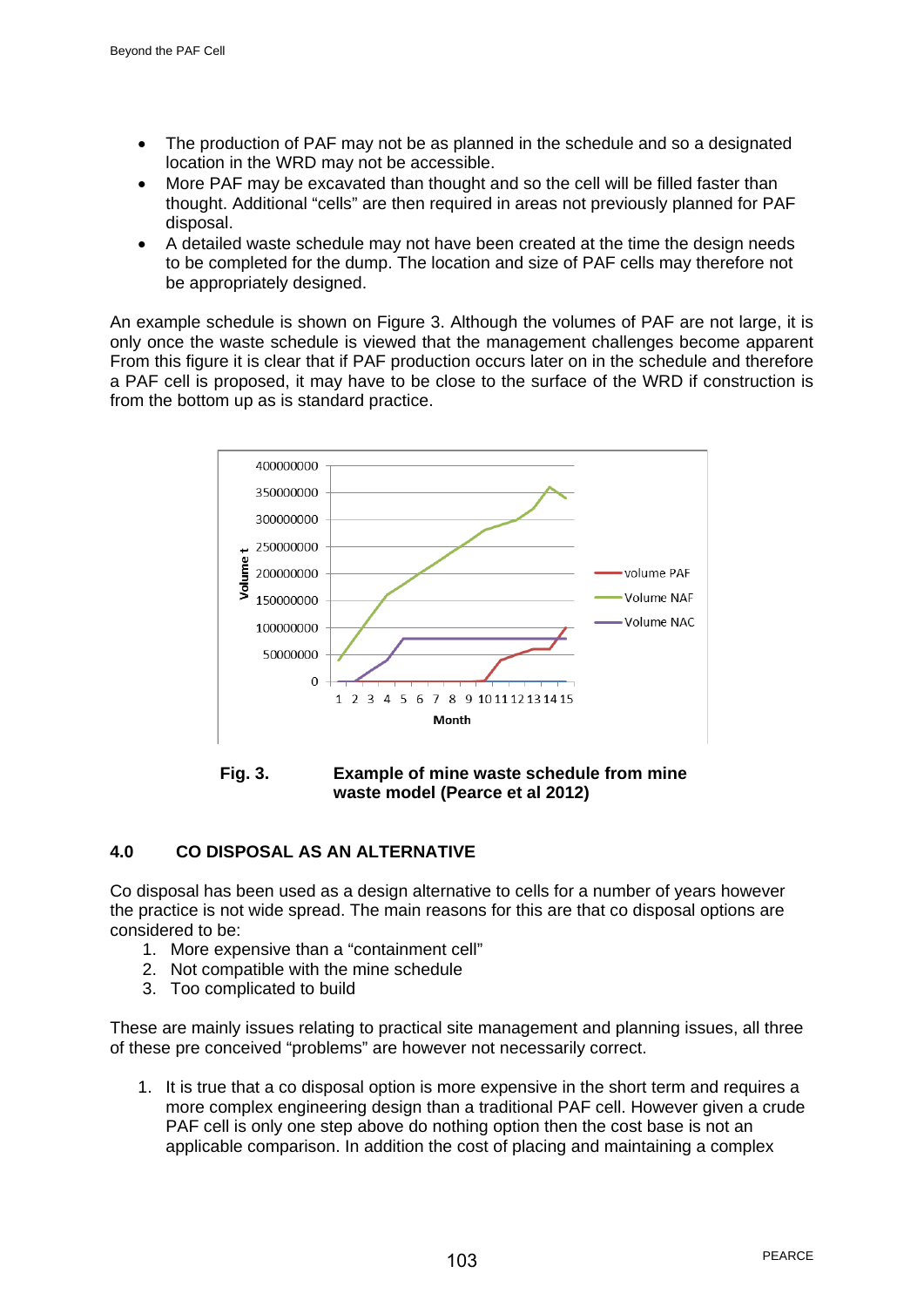- The production of PAF may not be as planned in the schedule and so a designated location in the WRD may not be accessible.
- More PAF may be excavated than thought and so the cell will be filled faster than thought. Additional "cells" are then required in areas not previously planned for PAF disposal.
- A detailed waste schedule may not have been created at the time the design needs to be completed for the dump. The location and size of PAF cells may therefore not be appropriately designed.

An example schedule is shown on Figure 3. Although the volumes of PAF are not large, it is only once the waste schedule is viewed that the management challenges become apparent From this figure it is clear that if PAF production occurs later on in the schedule and therefore a PAF cell is proposed, it may have to be close to the surface of the WRD if construction is from the bottom up as is standard practice.



**Fig. 3. Example of mine waste schedule from mine waste model (Pearce et al 2012)**

# **4.0 CO DISPOSAL AS AN ALTERNATIVE**

Co disposal has been used as a design alternative to cells for a number of years however the practice is not wide spread. The main reasons for this are that co disposal options are considered to be:

- 1. More expensive than a "containment cell"
- 2. Not compatible with the mine schedule
- 3. Too complicated to build

These are mainly issues relating to practical site management and planning issues, all three of these pre conceived "problems" are however not necessarily correct.

1. It is true that a co disposal option is more expensive in the short term and requires a more complex engineering design than a traditional PAF cell. However given a crude PAF cell is only one step above do nothing option then the cost base is not an applicable comparison. In addition the cost of placing and maintaining a complex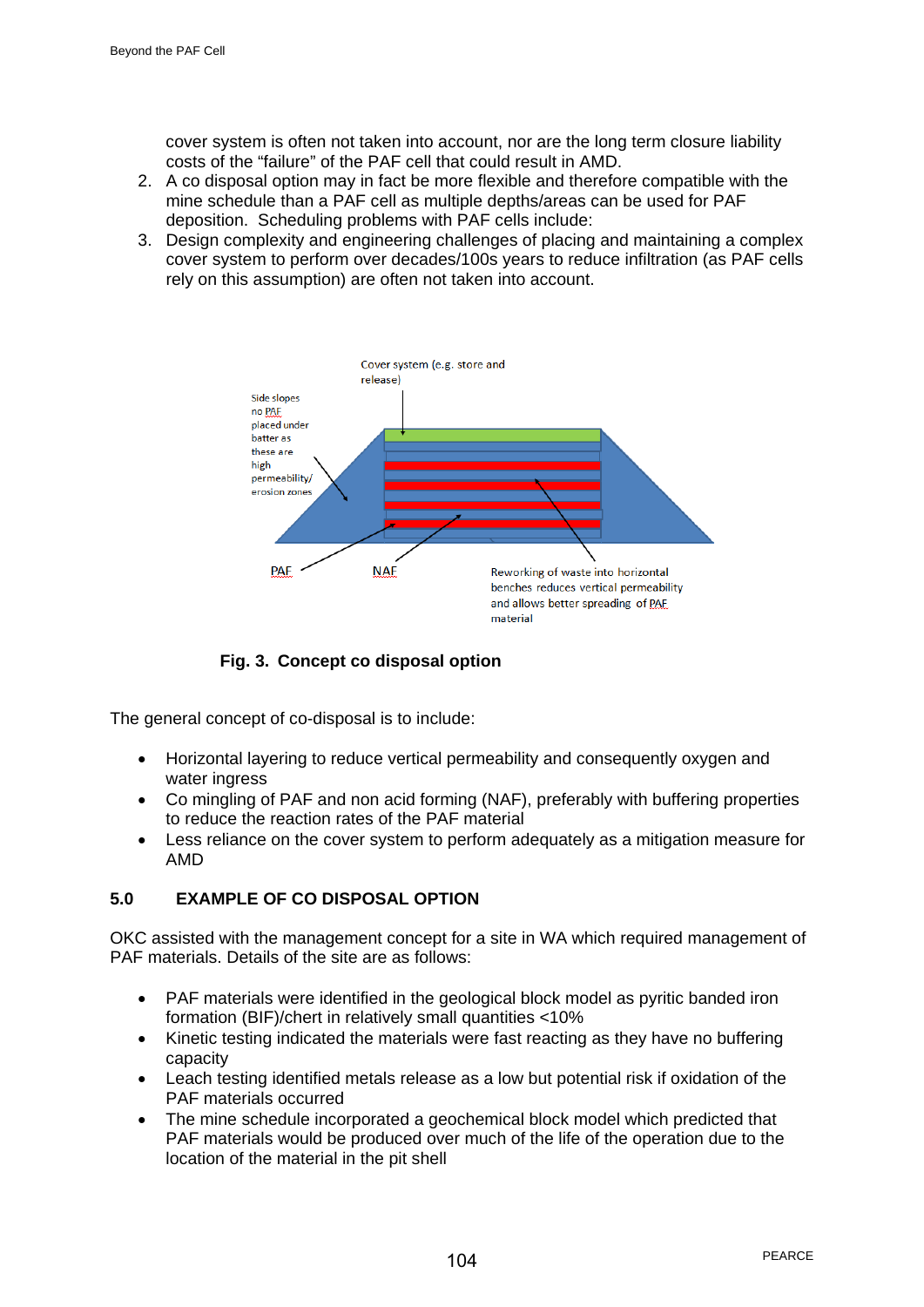cover system is often not taken into account, nor are the long term closure liability costs of the "failure" of the PAF cell that could result in AMD.

- 2. A co disposal option may in fact be more flexible and therefore compatible with the mine schedule than a PAF cell as multiple depths/areas can be used for PAF deposition. Scheduling problems with PAF cells include:
- 3. Design complexity and engineering challenges of placing and maintaining a complex cover system to perform over decades/100s years to reduce infiltration (as PAF cells rely on this assumption) are often not taken into account.



**Fig. 3. Concept co disposal option**

The general concept of co-disposal is to include:

- Horizontal layering to reduce vertical permeability and consequently oxygen and water ingress
- Co mingling of PAF and non acid forming (NAF), preferably with buffering properties to reduce the reaction rates of the PAF material
- Less reliance on the cover system to perform adequately as a mitigation measure for AMD

# **5.0 EXAMPLE OF CO DISPOSAL OPTION**

OKC assisted with the management concept for a site in WA which required management of PAF materials. Details of the site are as follows:

- PAF materials were identified in the geological block model as pyritic banded iron formation (BIF)/chert in relatively small quantities <10%
- Kinetic testing indicated the materials were fast reacting as they have no buffering capacity
- Leach testing identified metals release as a low but potential risk if oxidation of the PAF materials occurred
- The mine schedule incorporated a geochemical block model which predicted that PAF materials would be produced over much of the life of the operation due to the location of the material in the pit shell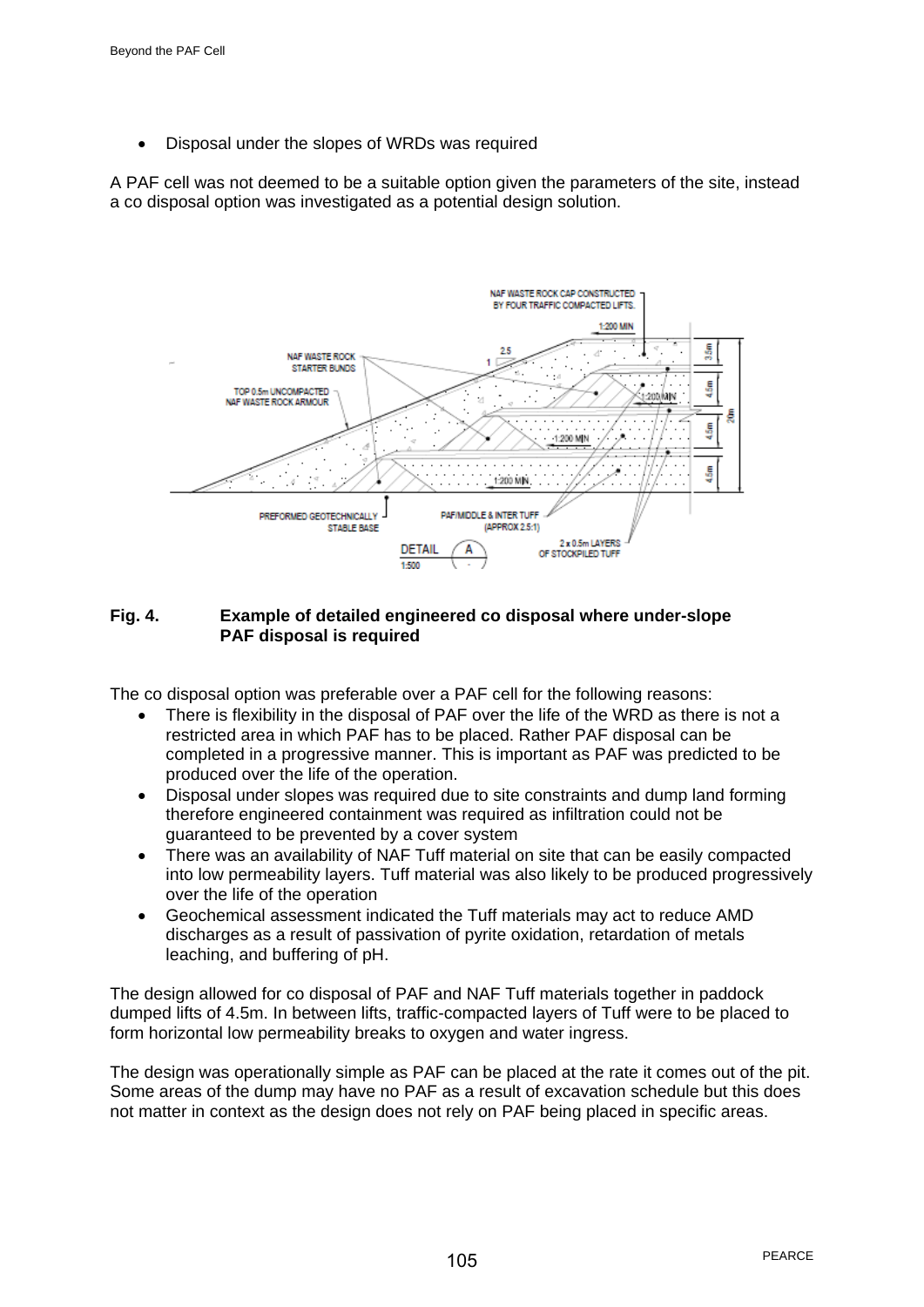• Disposal under the slopes of WRDs was required

A PAF cell was not deemed to be a suitable option given the parameters of the site, instead a co disposal option was investigated as a potential design solution.



## **Fig. 4. Example of detailed engineered co disposal where under-slope PAF disposal is required**

The co disposal option was preferable over a PAF cell for the following reasons:

- There is flexibility in the disposal of PAF over the life of the WRD as there is not a restricted area in which PAF has to be placed. Rather PAF disposal can be completed in a progressive manner. This is important as PAF was predicted to be produced over the life of the operation.
- Disposal under slopes was required due to site constraints and dump land forming therefore engineered containment was required as infiltration could not be guaranteed to be prevented by a cover system
- There was an availability of NAF Tuff material on site that can be easily compacted into low permeability layers. Tuff material was also likely to be produced progressively over the life of the operation
- Geochemical assessment indicated the Tuff materials may act to reduce AMD discharges as a result of passivation of pyrite oxidation, retardation of metals leaching, and buffering of pH.

The design allowed for co disposal of PAF and NAF Tuff materials together in paddock dumped lifts of 4.5m. In between lifts, traffic-compacted layers of Tuff were to be placed to form horizontal low permeability breaks to oxygen and water ingress.

The design was operationally simple as PAF can be placed at the rate it comes out of the pit. Some areas of the dump may have no PAF as a result of excavation schedule but this does not matter in context as the design does not rely on PAF being placed in specific areas.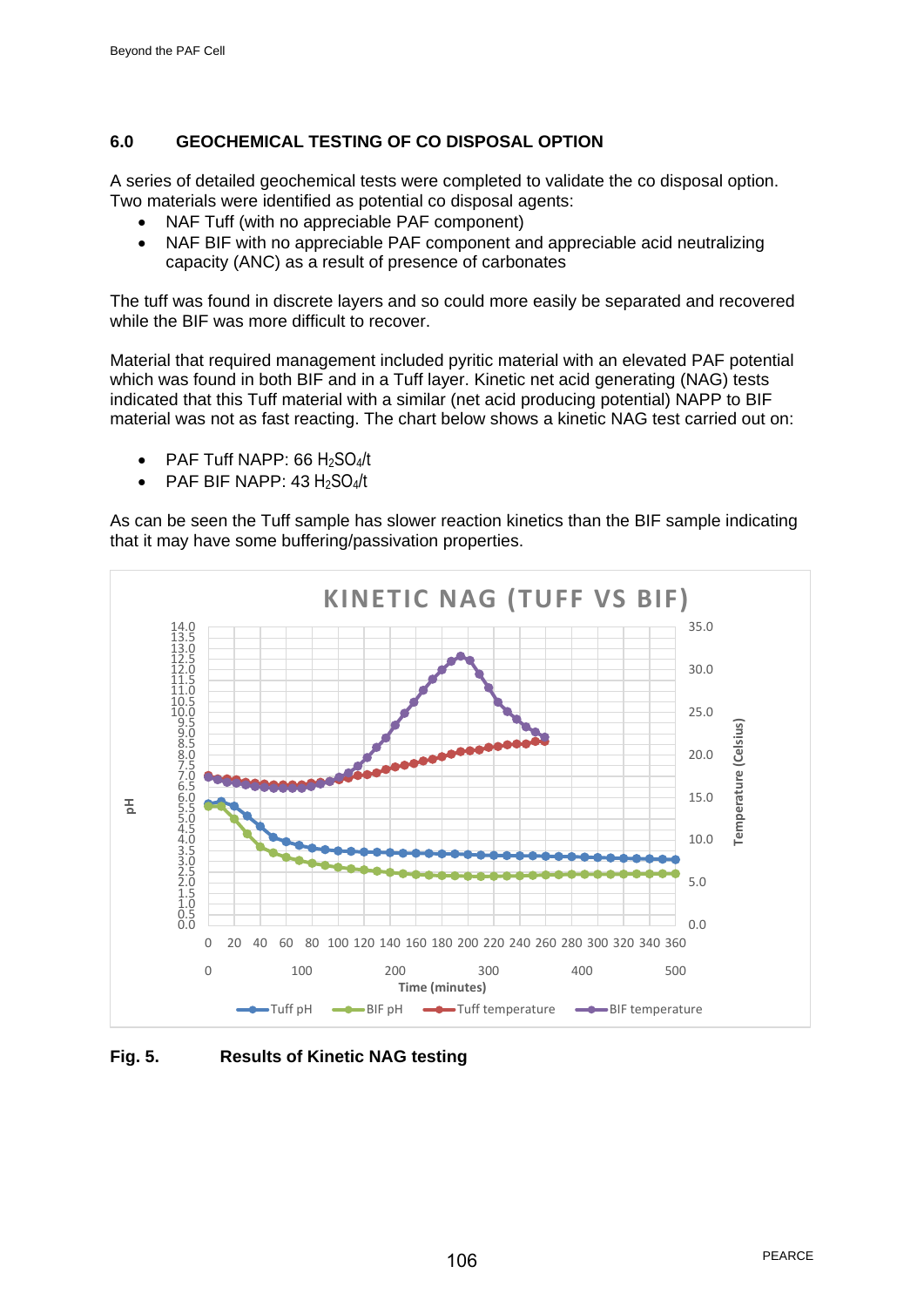# **6.0 GEOCHEMICAL TESTING OF CO DISPOSAL OPTION**

A series of detailed geochemical tests were completed to validate the co disposal option. Two materials were identified as potential co disposal agents:

- NAF Tuff (with no appreciable PAF component)
- NAF BIF with no appreciable PAF component and appreciable acid neutralizing capacity (ANC) as a result of presence of carbonates

The tuff was found in discrete layers and so could more easily be separated and recovered while the BIF was more difficult to recover.

Material that required management included pyritic material with an elevated PAF potential which was found in both BIF and in a Tuff layer. Kinetic net acid generating (NAG) tests indicated that this Tuff material with a similar (net acid producing potential) NAPP to BIF material was not as fast reacting. The chart below shows a kinetic NAG test carried out on:

- PAF Tuff NAPP: 66  $H<sub>2</sub>SO<sub>4</sub>/t$
- PAF BIF NAPP:  $43 \text{ H}_2\text{SO}_4/\text{t}$

As can be seen the Tuff sample has slower reaction kinetics than the BIF sample indicating that it may have some buffering/passivation properties.



**Fig. 5. Results of Kinetic NAG testing**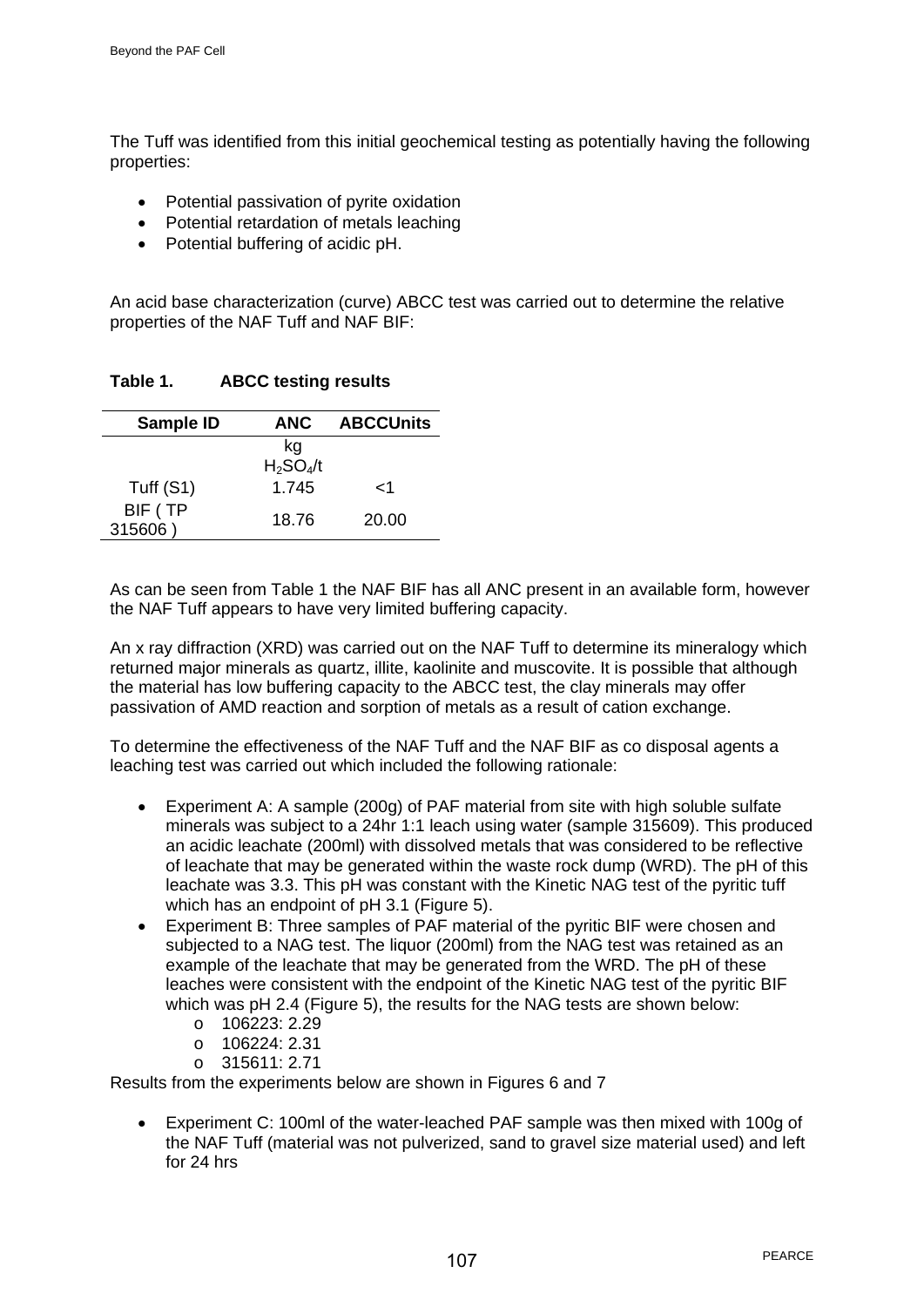The Tuff was identified from this initial geochemical testing as potentially having the following properties:

- Potential passivation of pyrite oxidation
- Potential retardation of metals leaching
- Potential buffering of acidic pH.

An acid base characterization (curve) ABCC test was carried out to determine the relative properties of the NAF Tuff and NAF BIF:

**Table 1. ABCC testing results** 

| Sample ID          | <b>ANC</b>        | <b>ABCCUnits</b> |
|--------------------|-------------------|------------------|
|                    | kg<br>$H_2SO_4/t$ |                  |
| Tuff (S1)          | 1.745             | 1>               |
| BIF (TP<br>315606) | 18.76             | 20.00            |

As can be seen from Table 1 the NAF BIF has all ANC present in an available form, however the NAF Tuff appears to have very limited buffering capacity.

An x ray diffraction (XRD) was carried out on the NAF Tuff to determine its mineralogy which returned major minerals as quartz, illite, kaolinite and muscovite. It is possible that although the material has low buffering capacity to the ABCC test, the clay minerals may offer passivation of AMD reaction and sorption of metals as a result of cation exchange.

To determine the effectiveness of the NAF Tuff and the NAF BIF as co disposal agents a leaching test was carried out which included the following rationale:

- Experiment A: A sample (200g) of PAF material from site with high soluble sulfate minerals was subject to a 24hr 1:1 leach using water (sample 315609). This produced an acidic leachate (200ml) with dissolved metals that was considered to be reflective of leachate that may be generated within the waste rock dump (WRD). The pH of this leachate was 3.3. This pH was constant with the Kinetic NAG test of the pyritic tuff which has an endpoint of pH 3.1 (Figure 5).
- Experiment B: Three samples of PAF material of the pyritic BIF were chosen and subjected to a NAG test. The liquor (200ml) from the NAG test was retained as an example of the leachate that may be generated from the WRD. The pH of these leaches were consistent with the endpoint of the Kinetic NAG test of the pyritic BIF which was pH 2.4 (Figure 5), the results for the NAG tests are shown below:
	- o 106223: 2.29
	- o 106224: 2.31
	- $o$  315611: 2.71

Results from the experiments below are shown in Figures 6 and 7

• Experiment C: 100ml of the water-leached PAF sample was then mixed with 100g of the NAF Tuff (material was not pulverized, sand to gravel size material used) and left for 24 hrs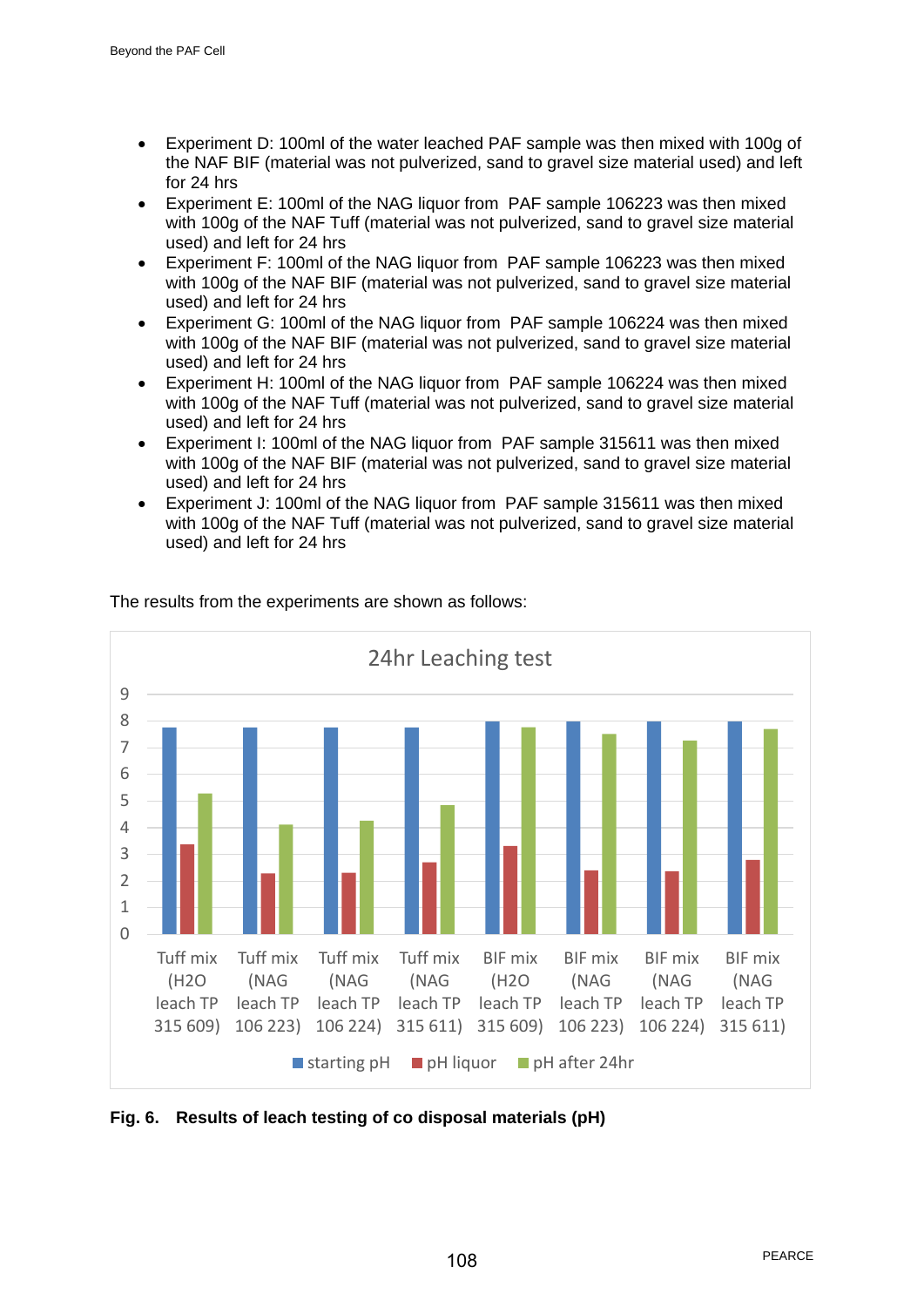- Experiment D: 100ml of the water leached PAF sample was then mixed with 100g of the NAF BIF (material was not pulverized, sand to gravel size material used) and left for 24 hrs
- Experiment E: 100ml of the NAG liquor from PAF sample 106223 was then mixed with 100g of the NAF Tuff (material was not pulverized, sand to gravel size material used) and left for 24 hrs
- Experiment F: 100ml of the NAG liquor from PAF sample 106223 was then mixed with 100g of the NAF BIF (material was not pulverized, sand to gravel size material used) and left for 24 hrs
- Experiment G: 100ml of the NAG liquor from PAF sample 106224 was then mixed with 100g of the NAF BIF (material was not pulverized, sand to gravel size material used) and left for 24 hrs
- Experiment H: 100ml of the NAG liquor from PAF sample 106224 was then mixed with 100g of the NAF Tuff (material was not pulverized, sand to gravel size material used) and left for 24 hrs
- Experiment I: 100ml of the NAG liquor from PAF sample 315611 was then mixed with 100g of the NAF BIF (material was not pulverized, sand to gravel size material used) and left for 24 hrs
- Experiment J: 100ml of the NAG liquor from PAF sample 315611 was then mixed with 100g of the NAF Tuff (material was not pulverized, sand to gravel size material used) and left for 24 hrs



The results from the experiments are shown as follows:

**Fig. 6. Results of leach testing of co disposal materials (pH)**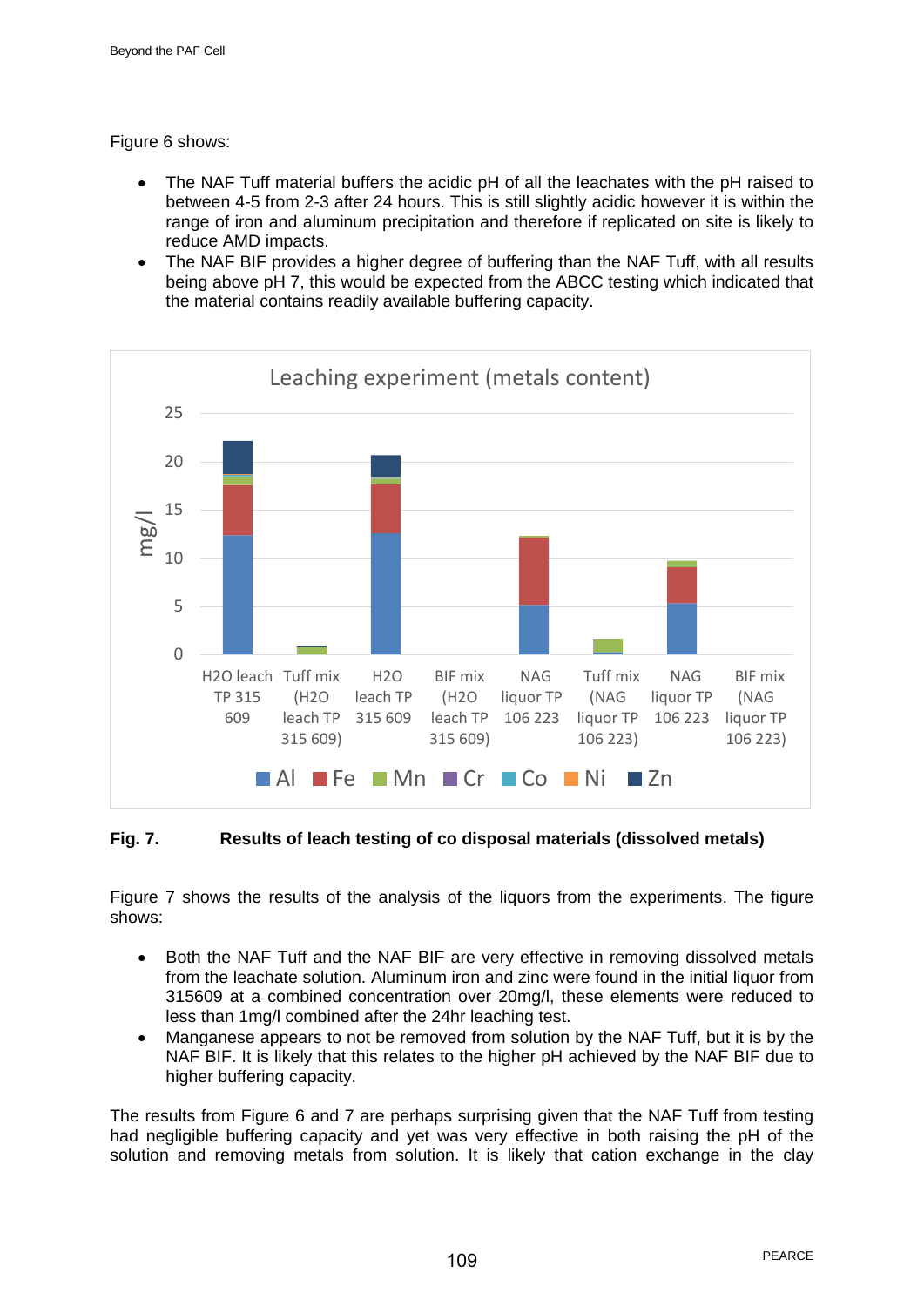Figure 6 shows:

- The NAF Tuff material buffers the acidic pH of all the leachates with the pH raised to between 4-5 from 2-3 after 24 hours. This is still slightly acidic however it is within the range of iron and aluminum precipitation and therefore if replicated on site is likely to reduce AMD impacts.
- The NAF BIF provides a higher degree of buffering than the NAF Tuff, with all results being above pH 7, this would be expected from the ABCC testing which indicated that the material contains readily available buffering capacity.



# **Fig. 7. Results of leach testing of co disposal materials (dissolved metals)**

Figure 7 shows the results of the analysis of the liquors from the experiments. The figure shows:

- Both the NAF Tuff and the NAF BIF are very effective in removing dissolved metals from the leachate solution. Aluminum iron and zinc were found in the initial liquor from 315609 at a combined concentration over 20mg/l, these elements were reduced to less than 1mg/l combined after the 24hr leaching test.
- Manganese appears to not be removed from solution by the NAF Tuff, but it is by the NAF BIF. It is likely that this relates to the higher pH achieved by the NAF BIF due to higher buffering capacity.

The results from Figure 6 and 7 are perhaps surprising given that the NAF Tuff from testing had negligible buffering capacity and yet was very effective in both raising the pH of the solution and removing metals from solution. It is likely that cation exchange in the clay